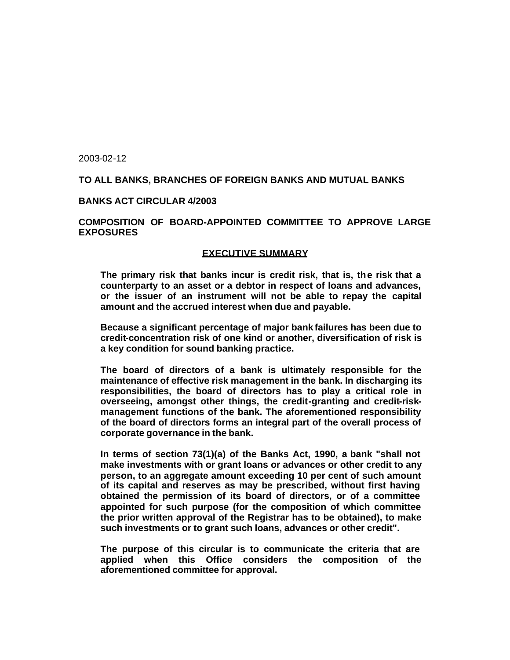2003-02-12

### **TO ALL BANKS, BRANCHES OF FOREIGN BANKS AND MUTUAL BANKS**

#### **BANKS ACT CIRCULAR 4/2003**

### **COMPOSITION OF BOARD-APPOINTED COMMITTEE TO APPROVE LARGE EXPOSURES**

#### **EXECUTIVE SUMMARY**

**The primary risk that banks incur is credit risk, that is, the risk that a counterparty to an asset or a debtor in respect of loans and advances, or the issuer of an instrument will not be able to repay the capital amount and the accrued interest when due and payable.**

**Because a significant percentage of major bank failures has been due to credit-concentration risk of one kind or another, diversification of risk is a key condition for sound banking practice.**

**The board of directors of a bank is ultimately responsible for the maintenance of effective risk management in the bank. In discharging its responsibilities, the board of directors has to play a critical role in overseeing, amongst other things, the credit-granting and credit-riskmanagement functions of the bank. The aforementioned responsibility of the board of directors forms an integral part of the overall process of corporate governance in the bank.**

**In terms of section 73(1)(a) of the Banks Act, 1990, a bank "shall not make investments with or grant loans or advances or other credit to any person, to an aggregate amount exceeding 10 per cent of such amount of its capital and reserves as may be prescribed, without first having obtained the permission of its board of directors, or of a committee appointed for such purpose (for the composition of which committee the prior written approval of the Registrar has to be obtained), to make such investments or to grant such loans, advances or other credit".**

**The purpose of this circular is to communicate the criteria that are applied when this Office considers the composition of the aforementioned committee for approval.**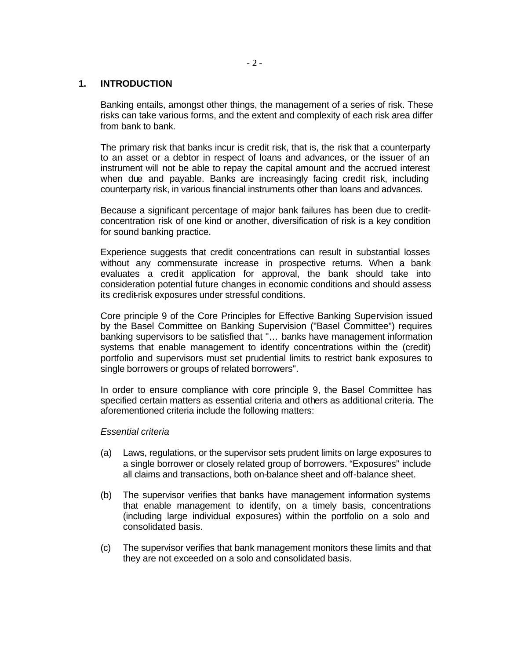### **1. INTRODUCTION**

Banking entails, amongst other things, the management of a series of risk. These risks can take various forms, and the extent and complexity of each risk area differ from bank to bank.

The primary risk that banks incur is credit risk, that is, the risk that a counterparty to an asset or a debtor in respect of loans and advances, or the issuer of an instrument will not be able to repay the capital amount and the accrued interest when due and payable. Banks are increasingly facing credit risk, including counterparty risk, in various financial instruments other than loans and advances.

Because a significant percentage of major bank failures has been due to creditconcentration risk of one kind or another, diversification of risk is a key condition for sound banking practice.

Experience suggests that credit concentrations can result in substantial losses without any commensurate increase in prospective returns. When a bank evaluates a credit application for approval, the bank should take into consideration potential future changes in economic conditions and should assess its credit-risk exposures under stressful conditions.

Core principle 9 of the Core Principles for Effective Banking Supervision issued by the Basel Committee on Banking Supervision ("Basel Committee") requires banking supervisors to be satisfied that "… banks have management information systems that enable management to identify concentrations within the (credit) portfolio and supervisors must set prudential limits to restrict bank exposures to single borrowers or groups of related borrowers".

In order to ensure compliance with core principle 9, the Basel Committee has specified certain matters as essential criteria and others as additional criteria. The aforementioned criteria include the following matters:

### *Essential criteria*

- (a) Laws, regulations, or the supervisor sets prudent limits on large exposures to a single borrower or closely related group of borrowers. "Exposures" include all claims and transactions, both on-balance sheet and off-balance sheet.
- (b) The supervisor verifies that banks have management information systems that enable management to identify, on a timely basis, concentrations (including large individual exposures) within the portfolio on a solo and consolidated basis.
- (c) The supervisor verifies that bank management monitors these limits and that they are not exceeded on a solo and consolidated basis.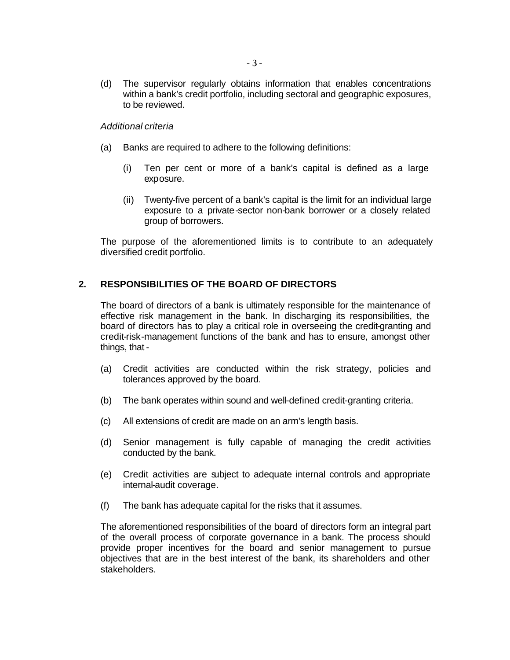(d) The supervisor regularly obtains information that enables concentrations within a bank's credit portfolio, including sectoral and geographic exposures, to be reviewed.

### *Additional criteria*

- (a) Banks are required to adhere to the following definitions:
	- (i) Ten per cent or more of a bank's capital is defined as a large exposure.
	- (ii) Twenty-five percent of a bank's capital is the limit for an individual large exposure to a private-sector non-bank borrower or a closely related group of borrowers.

The purpose of the aforementioned limits is to contribute to an adequately diversified credit portfolio.

# **2. RESPONSIBILITIES OF THE BOARD OF DIRECTORS**

The board of directors of a bank is ultimately responsible for the maintenance of effective risk management in the bank. In discharging its responsibilities, the board of directors has to play a critical role in overseeing the credit-granting and credit-risk-management functions of the bank and has to ensure, amongst other things, that -

- (a) Credit activities are conducted within the risk strategy, policies and tolerances approved by the board.
- (b) The bank operates within sound and well-defined credit-granting criteria.
- (c) All extensions of credit are made on an arm's length basis.
- (d) Senior management is fully capable of managing the credit activities conducted by the bank.
- (e) Credit activities are subject to adequate internal controls and appropriate internal-audit coverage.
- (f) The bank has adequate capital for the risks that it assumes.

The aforementioned responsibilities of the board of directors form an integral part of the overall process of corporate governance in a bank. The process should provide proper incentives for the board and senior management to pursue objectives that are in the best interest of the bank, its shareholders and other stakeholders.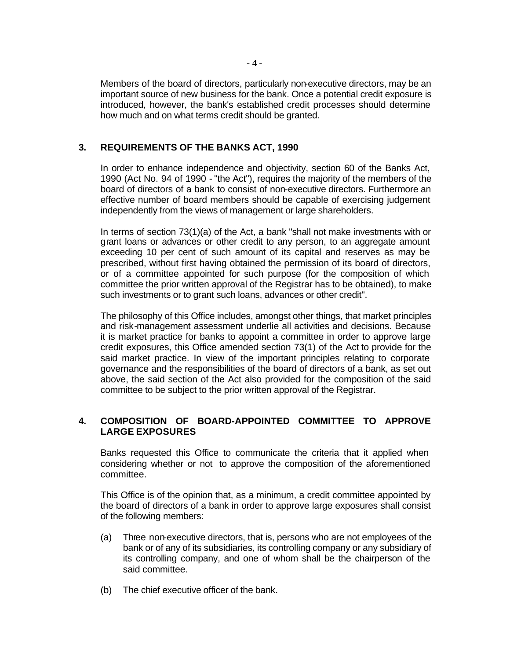Members of the board of directors, particularly non-executive directors, may be an important source of new business for the bank. Once a potential credit exposure is introduced, however, the bank's established credit processes should determine how much and on what terms credit should be granted.

# **3. REQUIREMENTS OF THE BANKS ACT, 1990**

In order to enhance independence and objectivity, section 60 of the Banks Act, 1990 (Act No. 94 of 1990 - "the Act"), requires the majority of the members of the board of directors of a bank to consist of non-executive directors. Furthermore an effective number of board members should be capable of exercising judgement independently from the views of management or large shareholders.

In terms of section 73(1)(a) of the Act, a bank "shall not make investments with or grant loans or advances or other credit to any person, to an aggregate amount exceeding 10 per cent of such amount of its capital and reserves as may be prescribed, without first having obtained the permission of its board of directors, or of a committee appointed for such purpose (for the composition of which committee the prior written approval of the Registrar has to be obtained), to make such investments or to grant such loans, advances or other credit".

The philosophy of this Office includes, amongst other things, that market principles and risk-management assessment underlie all activities and decisions. Because it is market practice for banks to appoint a committee in order to approve large credit exposures, this Office amended section 73(1) of the Act to provide for the said market practice. In view of the important principles relating to corporate governance and the responsibilities of the board of directors of a bank, as set out above, the said section of the Act also provided for the composition of the said committee to be subject to the prior written approval of the Registrar.

# **4. COMPOSITION OF BOARD-APPOINTED COMMITTEE TO APPROVE LARGE EXPOSURES**

Banks requested this Office to communicate the criteria that it applied when considering whether or not to approve the composition of the aforementioned committee.

This Office is of the opinion that, as a minimum, a credit committee appointed by the board of directors of a bank in order to approve large exposures shall consist of the following members:

- (a) Three non-executive directors, that is, persons who are not employees of the bank or of any of its subsidiaries, its controlling company or any subsidiary of its controlling company, and one of whom shall be the chairperson of the said committee.
- (b) The chief executive officer of the bank.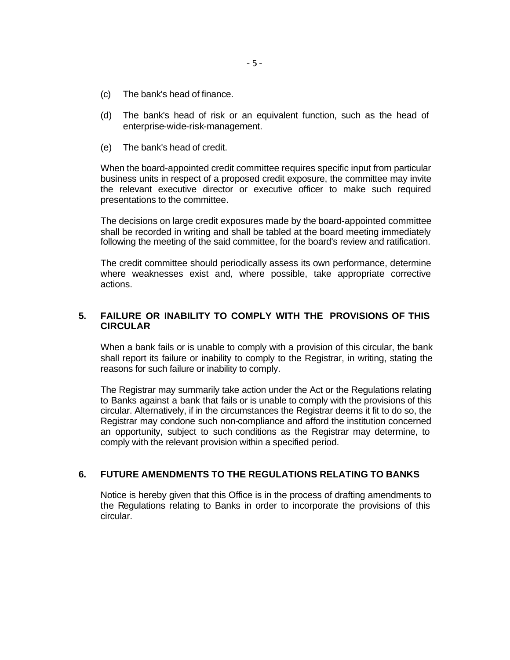- (c) The bank's head of finance.
- (d) The bank's head of risk or an equivalent function, such as the head of enterprise-wide-risk-management.
- (e) The bank's head of credit.

When the board-appointed credit committee requires specific input from particular business units in respect of a proposed credit exposure, the committee may invite the relevant executive director or executive officer to make such required presentations to the committee.

The decisions on large credit exposures made by the board-appointed committee shall be recorded in writing and shall be tabled at the board meeting immediately following the meeting of the said committee, for the board's review and ratification.

The credit committee should periodically assess its own performance, determine where weaknesses exist and, where possible, take appropriate corrective actions.

### **5. FAILURE OR INABILITY TO COMPLY WITH THE PROVISIONS OF THIS CIRCULAR**

When a bank fails or is unable to comply with a provision of this circular, the bank shall report its failure or inability to comply to the Registrar, in writing, stating the reasons for such failure or inability to comply.

The Registrar may summarily take action under the Act or the Regulations relating to Banks against a bank that fails or is unable to comply with the provisions of this circular. Alternatively, if in the circumstances the Registrar deems it fit to do so, the Registrar may condone such non-compliance and afford the institution concerned an opportunity, subject to such conditions as the Registrar may determine, to comply with the relevant provision within a specified period.

### **6. FUTURE AMENDMENTS TO THE REGULATIONS RELATING TO BANKS**

Notice is hereby given that this Office is in the process of drafting amendments to the Regulations relating to Banks in order to incorporate the provisions of this circular.